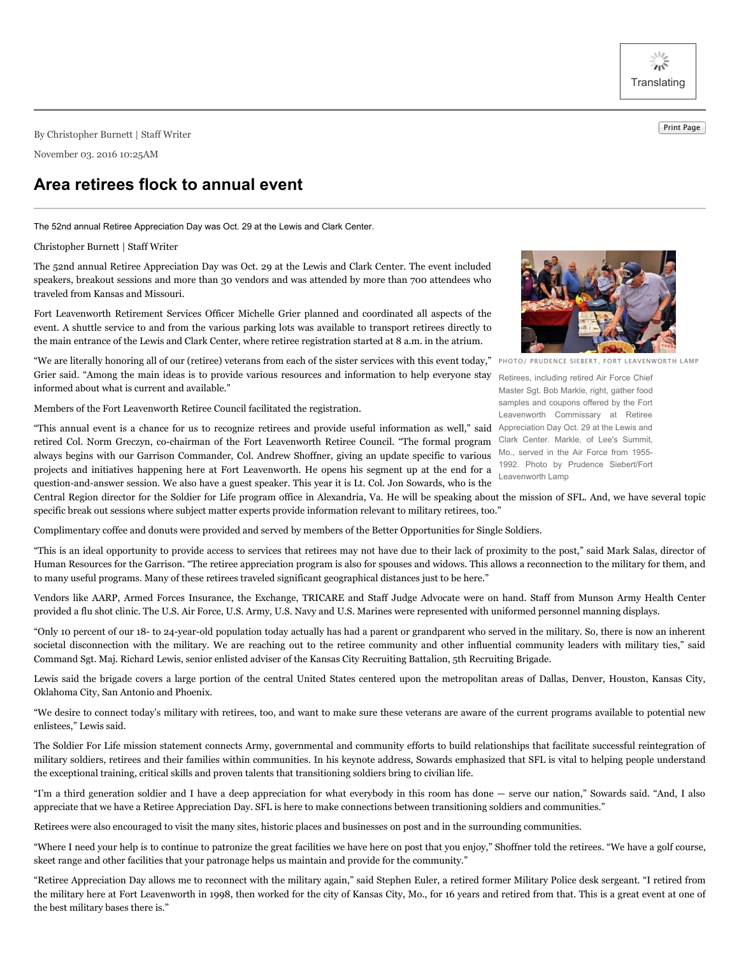养 **Translating** 

Print Page By Christopher Burnett <sup>|</sup> Staff Writer

November 03. 2016 10:25AM

## **Area retirees flock to annual event**

The 52nd annual Retiree Appreciation Day was Oct. 29 at the Lewis and Clark Center.

## Christopher Burnett | Staff Writer

The 52nd annual Retiree Appreciation Day was Oct. 29 at the Lewis and Clark Center. The event included speakers, breakout sessions and more than 30 vendors and was attended by more than 700 attendees who traveled from Kansas and Missouri.

Fort Leavenworth Retirement Services Officer Michelle Grier planned and coordinated all aspects of the event. A shuttle service to and from the various parking lots was available to transport retirees directly to the main entrance of the Lewis and Clark Center, where retiree registration started at 8 a.m. in the atrium.

"We are literally honoring all of our (retiree) veterans from each of the sister services with this event today," Grier said. "Among the main ideas is to provide various resources and information to help everyone stay informed about what is current and available."

Members of the Fort Leavenworth Retiree Council facilitated the registration.



PHOTO/ PRUDENCE SIEBERT, FORT LEAVENWORTH LAMP

Retirees, including retired Air Force Chief Master Sgt. Bob Markle, right, gather food samples and coupons offered by the Fort Leavenworth Commissary at Retiree Appreciation Day Oct. 29 at the Lewis and Clark Center. Markle, of Lee's Summit, Mo., served in the Air Force from 1955- 1992. Photo by Prudence Siebert/Fort Leavenworth Lamp

"This annual event is a chance for us to recognize retirees and provide useful information as well," said retired Col. Norm Greczyn, co-chairman of the Fort Leavenworth Retiree Council. "The formal program always begins with our Garrison Commander, Col. Andrew Shoffner, giving an update specific to various projects and initiatives happening here at Fort Leavenworth. He opens his segment up at the end for a question-and-answer session. We also have a guest speaker. This year it is Lt. Col. Jon Sowards, who is the

Central Region director for the Soldier for Life program office in Alexandria, Va. He will be speaking about the mission of SFL. And, we have several topic specific break out sessions where subject matter experts provide information relevant to military retirees, too."

Complimentary coffee and donuts were provided and served by members of the Better Opportunities for Single Soldiers.

"This is an ideal opportunity to provide access to services that retirees may not have due to their lack of proximity to the post," said Mark Salas, director of Human Resources for the Garrison. "The retiree appreciation program is also for spouses and widows. This allows a reconnection to the military for them, and to many useful programs. Many of these retirees traveled significant geographical distances just to be here."

Vendors like AARP, Armed Forces Insurance, the Exchange, TRICARE and Staff Judge Advocate were on hand. Staff from Munson Army Health Center provided a flu shot clinic. The U.S. Air Force, U.S. Army, U.S. Navy and U.S. Marines were represented with uniformed personnel manning displays.

"Only 10 percent of our 18- to 24-year-old population today actually has had a parent or grandparent who served in the military. So, there is now an inherent societal disconnection with the military. We are reaching out to the retiree community and other influential community leaders with military ties," said Command Sgt. Maj. Richard Lewis, senior enlisted adviser of the Kansas City Recruiting Battalion, 5th Recruiting Brigade.

Lewis said the brigade covers a large portion of the central United States centered upon the metropolitan areas of Dallas, Denver, Houston, Kansas City, Oklahoma City, San Antonio and Phoenix.

"We desire to connect today's military with retirees, too, and want to make sure these veterans are aware of the current programs available to potential new enlistees," Lewis said.

The Soldier For Life mission statement connects Army, governmental and community efforts to build relationships that facilitate successful reintegration of military soldiers, retirees and their families within communities. In his keynote address, Sowards emphasized that SFL is vital to helping people understand the exceptional training, critical skills and proven talents that transitioning soldiers bring to civilian life.

"I'm a third generation soldier and I have a deep appreciation for what everybody in this room has done — serve our nation," Sowards said. "And, I also appreciate that we have a Retiree Appreciation Day. SFL is here to make connections between transitioning soldiers and communities."

Retirees were also encouraged to visit the many sites, historic places and businesses on post and in the surrounding communities.

"Where I need your help is to continue to patronize the great facilities we have here on post that you enjoy," Shoffner told the retirees. "We have a golf course, skeet range and other facilities that your patronage helps us maintain and provide for the community."

"Retiree Appreciation Day allows me to reconnect with the military again," said Stephen Euler, a retired former Military Police desk sergeant. "I retired from the military here at Fort Leavenworth in 1998, then worked for the city of Kansas City, Mo., for 16 years and retired from that. This is a great event at one of the best military bases there is."